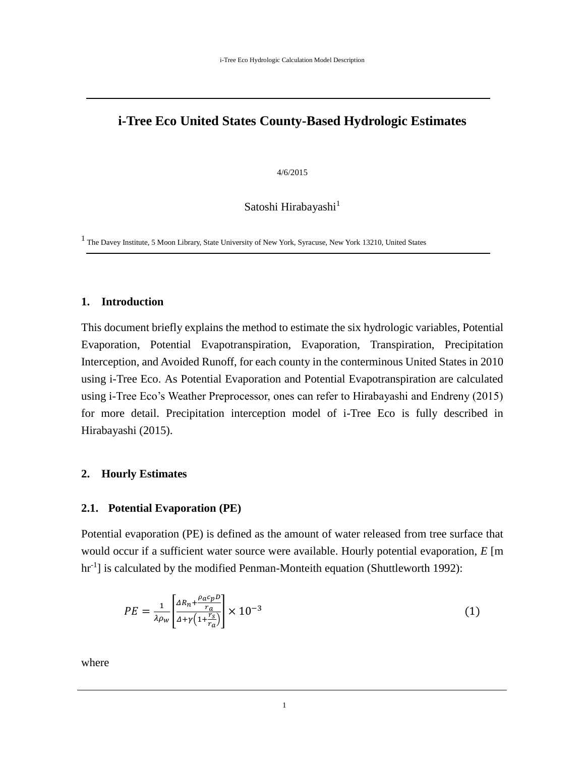# **i-Tree Eco United States County-Based Hydrologic Estimates**

4/6/2015

Satoshi Hirabayashi $<sup>1</sup>$ </sup>

1 The Davey Institute, 5 Moon Library, State University of New York, Syracuse, New York 13210, United States

#### **1. Introduction**

This document briefly explains the method to estimate the six hydrologic variables, Potential Evaporation, Potential Evapotranspiration, Evaporation, Transpiration, Precipitation Interception, and Avoided Runoff, for each county in the conterminous United States in 2010 using i-Tree Eco. As Potential Evaporation and Potential Evapotranspiration are calculated using i-Tree Eco's Weather Preprocessor, ones can refer to Hirabayashi and Endreny (2015) for more detail. Precipitation interception model of i-Tree Eco is fully described in Hirabayashi (2015).

## **2. Hourly Estimates**

## **2.1. Potential Evaporation (PE)**

Potential evaporation (PE) is defined as the amount of water released from tree surface that would occur if a sufficient water source were available. Hourly potential evaporation, *E* [m hr<sup>-1</sup>] is calculated by the modified Penman-Monteith equation (Shuttleworth 1992):

$$
PE = \frac{1}{\lambda \rho_w} \left[ \frac{\Delta R_n + \frac{\rho_a c_p D}{r_a}}{\Delta + \gamma \left( 1 + \frac{r_s}{r_a} \right)} \right] \times 10^{-3} \tag{1}
$$

where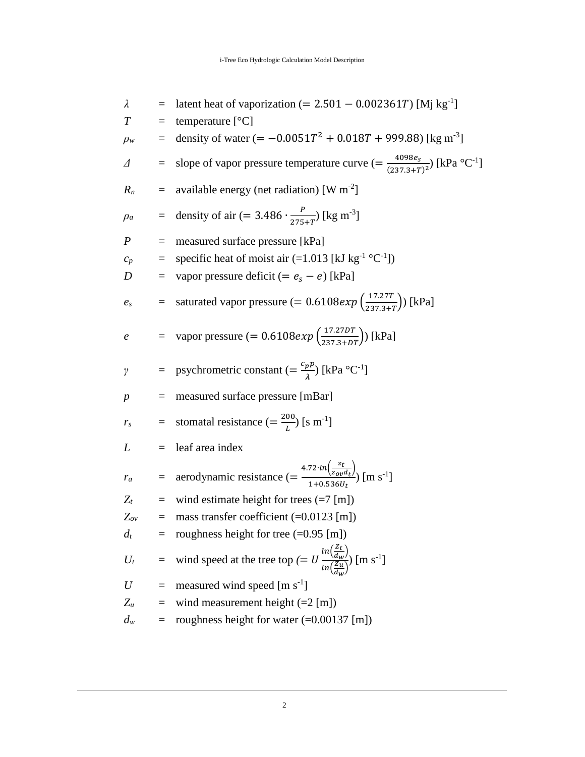$$
λ =
$$
 latent heat of vaporization (= 2.501 – 0.002361*T*) [Mj kg<sup>-1</sup>]  
\n
$$
T =
$$
 temperature [°C]  
\n
$$
ρ_w =
$$
 density of water (= –0.0051*T*<sup>2</sup> + 0.018*T* + 999.88) [kg m<sup>-3</sup>]  
\n
$$
Δ =
$$
 slope of vapor pressure temperature curve (=  $\frac{4098e_s}{(237.3+r)^2}$ ) [kPa °C<sup>-1</sup>]  
\n
$$
R_n =
$$
 available energy (net radiation) [W m<sup>-2</sup>]  
\n
$$
ρ_a =
$$
 density of air (= 3.486  $\cdot \frac{P}{275+r^3}$  [kg m<sup>-3</sup>]  
\n
$$
P =
$$
 measured surface pressure [kPa]  
\n
$$
c_p =
$$
 superior pressure deficit (=  $e_s - e$ ) [kPa]  
\n
$$
e_s =
$$
 saturated vapor pressure (= 0.6108*exp* ( $\frac{17.270T}{237.3+rT}$ ) [kPa]  
\n
$$
e =
$$
 vapor pressure (= 0.6108*exp* ( $\frac{17.270T}{237.3+rT}$ ) [kPa]  
\n
$$
=
$$
 proportional resistance (=  $\frac{e_p p}{\lambda}$  [kPa °C<sup>-1</sup>]  
\n
$$
p =
$$
 measured surface pressure [mBar]  
\n
$$
r_s =
$$
standard resistance (=  $\frac{200}{L}$ ) [s m<sup>-1</sup>]  
\n
$$
L =
$$
 leaf area index  
\n
$$
r_a =
$$
 aerodynamic resistance (=  $\frac{4.72 \cdot ln(\frac{z_t}{20\mu d_t})}{1+0.5360t}$  [m s<sup>-1</sup>]  
\n
$$
Z_t =
$$
wind estimate height for trees (=7 [m])  
\n
$$
Z_w =
$$
mass transfer coefficient (=0.0123 [m])  
\n
$$
U_t =
$$
modness height for tree (=0.95 [m])  
\n
$$
U_t =
$$
wind speed at the tree top (=  $U \frac{ln(\frac{$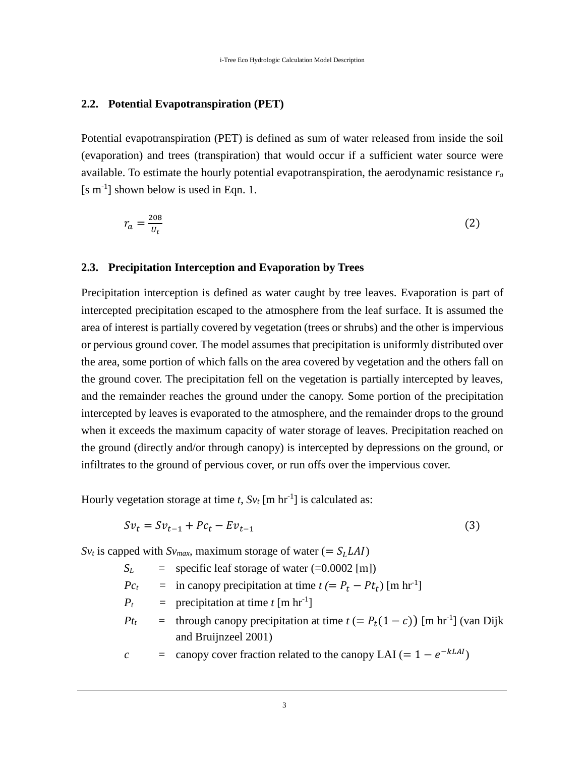# **2.2. Potential Evapotranspiration (PET)**

Potential evapotranspiration (PET) is defined as sum of water released from inside the soil (evaporation) and trees (transpiration) that would occur if a sufficient water source were available. To estimate the hourly potential evapotranspiration, the aerodynamic resistance *r<sup>a</sup>* [s m-1 ] shown below is used in Eqn. 1.

$$
r_a = \frac{208}{U_t} \tag{2}
$$

#### **2.3. Precipitation Interception and Evaporation by Trees**

Precipitation interception is defined as water caught by tree leaves. Evaporation is part of intercepted precipitation escaped to the atmosphere from the leaf surface. It is assumed the area of interest is partially covered by vegetation (trees or shrubs) and the other is impervious or pervious ground cover. The model assumes that precipitation is uniformly distributed over the area, some portion of which falls on the area covered by vegetation and the others fall on the ground cover. The precipitation fell on the vegetation is partially intercepted by leaves, and the remainder reaches the ground under the canopy. Some portion of the precipitation intercepted by leaves is evaporated to the atmosphere, and the remainder drops to the ground when it exceeds the maximum capacity of water storage of leaves. Precipitation reached on the ground (directly and/or through canopy) is intercepted by depressions on the ground, or infiltrates to the ground of pervious cover, or run offs over the impervious cover.

Hourly vegetation storage at time  $t$ ,  $Sv_t$  [m hr<sup>-1</sup>] is calculated as:

$$
Sv_t = Sv_{t-1} + Pc_t - Ev_{t-1}
$$
\n
$$
(3)
$$

 $Sv_t$  is capped with  $Sv_{max}$ , maximum storage of water (=  $S_L L A I$ )

- $S_L$  = specific leaf storage of water (=0.0002 [m])
- $P c_t$  = in canopy precipitation at time  $t (= P_t P_t)$  [m hr<sup>-1</sup>]
- $P_t$  = precipitation at time *t* [m hr<sup>-1</sup>]
- *Pt*<sub>t</sub> = through canopy precipitation at time  $t$  (=  $P_t(1 c)$ ) [m hr<sup>-1</sup>] (van Dijk and Bruijnzeel 2001)

 $c = \text{canopy cover fraction related to the canopy LAI} (= 1 - e^{-kLAI})$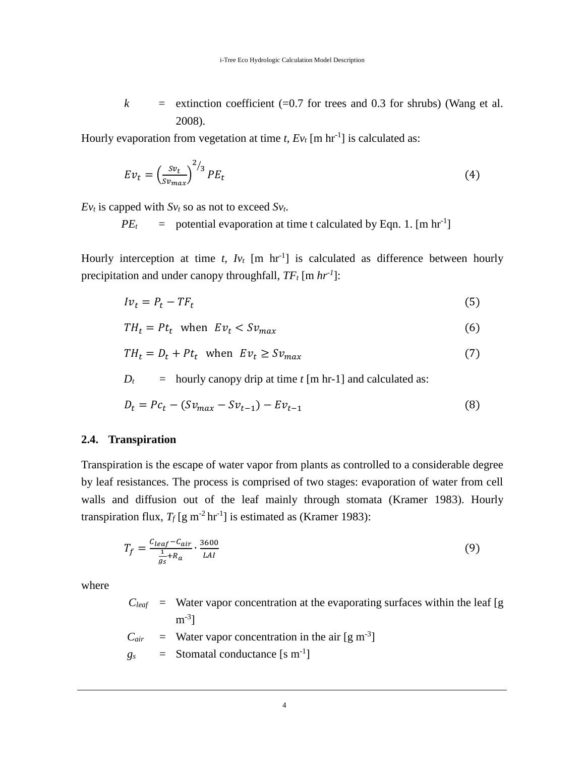$k =$  extinction coefficient (=0.7 for trees and 0.3 for shrubs) (Wang et al. 2008).

Hourly evaporation from vegetation at time  $t$ ,  $Ev_t$  [m hr<sup>-1</sup>] is calculated as:

$$
Ev_t = \left(\frac{sv_t}{sv_{max}}\right)^{2/3} PE_t
$$
\n(4)

 $E_{V_t}$  is capped with  $S_{V_t}$  so as not to exceed  $S_{V_t}$ .

 $PE<sub>t</sub>$  = potential evaporation at time t calculated by Eqn. 1. [m hr<sup>-1</sup>]

Hourly interception at time  $t$ ,  $Iv_t$  [m hr<sup>-1</sup>] is calculated as difference between hourly precipitation and under canopy throughfall, *TF<sup>t</sup>* [m *hr-1* ]:

$$
Iv_t = P_t - TF_t \tag{5}
$$

 $TH_t = Pt_t$  when  $Ev_t < Sv_{max}$  (6)

$$
TH_t = D_t + Pt_t \quad \text{when} \quad Ev_t \geq Sv_{max} \tag{7}
$$

 $D_t$  = hourly canopy drip at time *t* [m hr-1] and calculated as:

$$
D_t = Pc_t - (Sv_{max} - Sv_{t-1}) - Ev_{t-1}
$$
\n(8)

## **2.4. Transpiration**

Transpiration is the escape of water vapor from plants as controlled to a considerable degree by leaf resistances. The process is comprised of two stages: evaporation of water from cell walls and diffusion out of the leaf mainly through stomata (Kramer 1983). Hourly transpiration flux,  $T_f$  [g m<sup>-2</sup> hr<sup>-1</sup>] is estimated as (Kramer 1983):

$$
T_f = \frac{c_{leaf} - c_{air}}{\frac{1}{g_s} + R_a} \cdot \frac{3600}{LAI}
$$
\n<sup>(9)</sup>

where

 $C_{\text{leaf}}$  = Water vapor concentration at the evaporating surfaces within the leaf [g  $\mathrm{m}^{\text{-3}}$ ]

- $C_{air}$  = Water vapor concentration in the air [g m<sup>-3</sup>]
- $g_s$  = Stomatal conductance [s m<sup>-1</sup>]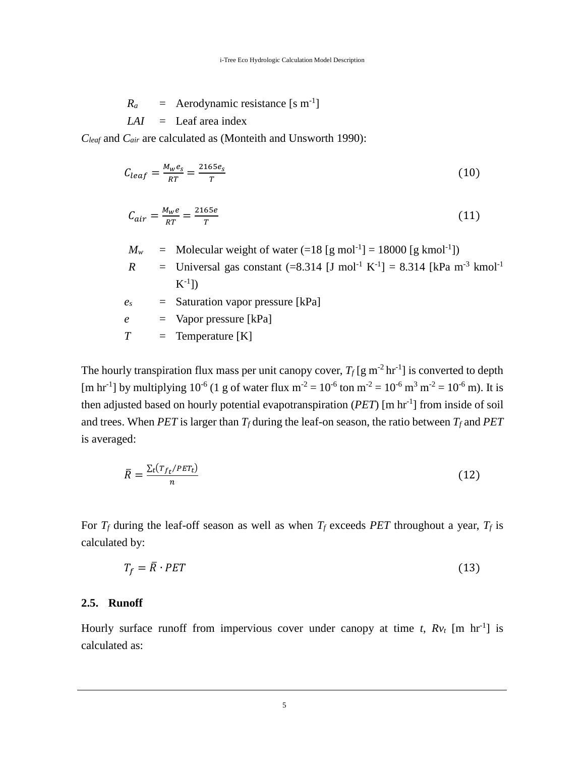$$
R_a
$$
 = Aerodynamic resistance [s m<sup>-1</sup>]  
 $LAI$  = Leaf area index

*Cleaf* and *Cair* are calculated as (Monteith and Unsworth 1990):

$$
C_{leaf} = \frac{M_w e_s}{RT} = \frac{2165 e_s}{T}
$$
\n(10)

$$
C_{air} = \frac{M_w e}{RT} = \frac{2165e}{T}
$$
\n<sup>(11)</sup>

- $M_w$  = Molecular weight of water  $(=18 \text{ [g mol}^{-1}) = 18000 \text{ [g kmol}^{-1}])$
- *R* = Universal gas constant  $(=8.314$  [J mol<sup>-1</sup> K<sup>-1</sup>] = 8.314 [kPa m<sup>-3</sup> kmol<sup>-1</sup>  $\mathrm{K}^{\text{-}1} \mathrm{]}$
- *e<sup>s</sup> =* Saturation vapor pressure [kPa]

*e =* Vapor pressure [kPa]

$$
T = \text{Temperature [K]}
$$

The hourly transpiration flux mass per unit canopy cover,  $T_f$  [g m<sup>-2</sup> hr<sup>-1</sup>] is converted to depth [m hr<sup>-1</sup>] by multiplying 10<sup>-6</sup> (1 g of water flux m<sup>-2</sup> = 10<sup>-6</sup> ton m<sup>-2</sup> = 10<sup>-6</sup> m<sup>3</sup> m<sup>-2</sup> = 10<sup>-6</sup> m). It is then adjusted based on hourly potential evapotranspiration (*PET*) [m hr-1 ] from inside of soil and trees. When *PET* is larger than  $T_f$  during the leaf-on season, the ratio between  $T_f$  and *PET* is averaged:

$$
\bar{R} = \frac{\Sigma_t (r_{f_t}/PET_t)}{n} \tag{12}
$$

For  $T_f$  during the leaf-off season as well as when  $T_f$  exceeds *PET* throughout a year,  $T_f$  is calculated by:

$$
T_f = \bar{R} \cdot PET \tag{13}
$$

## **2.5. Runoff**

Hourly surface runoff from impervious cover under canopy at time  $t$ ,  $Rv_t$  [m hr<sup>-1</sup>] is calculated as: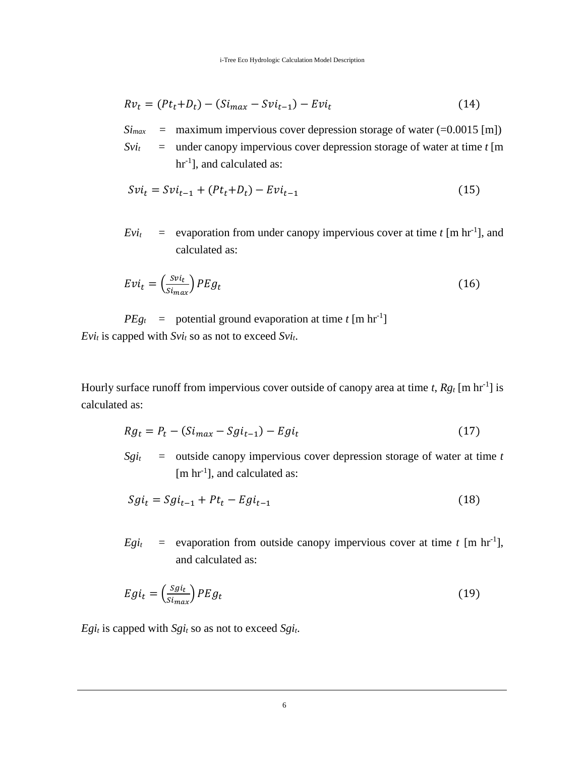$$
Rv_t = (Pt_t + D_t) - (Si_{max} - Svi_{t-1}) - Evi_t
$$
\n(14)

- $Si<sub>max</sub>$  = maximum impervious cover depression storage of water (=0.0015 [m])
- $Svi<sub>t</sub>$  = under canopy impervious cover depression storage of water at time *t* [m] hr<sup>-1</sup>], and calculated as:

$$
Svi_t = Svi_{t-1} + (Pt_t + D_t) - Evi_{t-1}
$$
\n(15)

 $Evi_t$  = evaporation from under canopy impervious cover at time *t* [m hr<sup>-1</sup>], and calculated as:

$$
Evi_t = \left(\frac{svi_t}{s_{i_{max}}}\right)PEg_t
$$
\n(16)

 $PEg_t$  = potential ground evaporation at time *t* [m hr<sup>-1</sup>] *Evi<sub>t</sub>* is capped with  $Svi_t$  so as not to exceed  $Svi_t$ .

Hourly surface runoff from impervious cover outside of canopy area at time *t*,  $Rg_t$  [m hr<sup>-1</sup>] is calculated as:

$$
Rg_t = P_t - (Si_{max} - Sgi_{t-1}) - Egi_t
$$
\n(17)

 $Sgi<sub>t</sub>$  = outside canopy impervious cover depression storage of water at time *t* [m hr<sup>-1</sup>], and calculated as:

$$
Sgi_t = Sgi_{t-1} + Pt_t - Egi_{t-1}
$$
\n(18)

 $Egi_t$  = evaporation from outside canopy impervious cover at time *t* [m hr<sup>-1</sup>], and calculated as:

$$
Egi_t = \left(\frac{Sgi_t}{Si_{max}}\right)PEg_t\tag{19}
$$

*Egi<sub>t</sub>* is capped with  $Sgi_t$  so as not to exceed  $Sgi_t$ .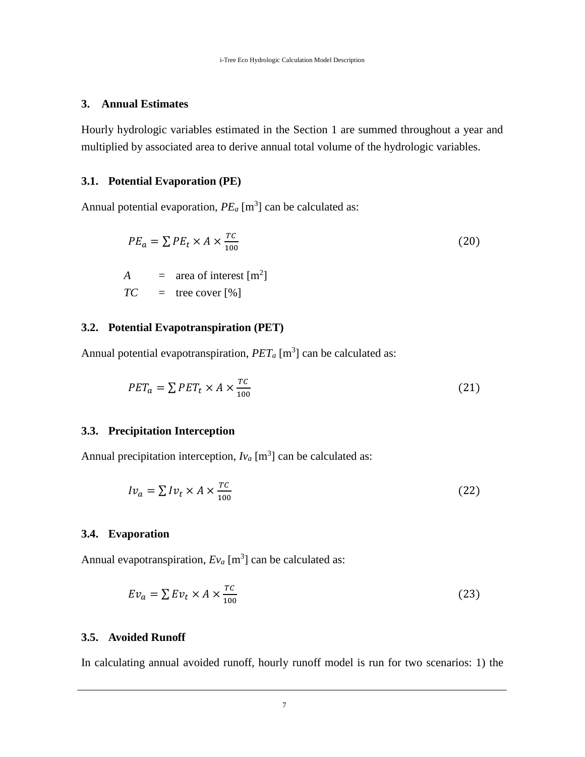### **3. Annual Estimates**

Hourly hydrologic variables estimated in the Section 1 are summed throughout a year and multiplied by associated area to derive annual total volume of the hydrologic variables.

# **3.1. Potential Evaporation (PE)**

Annual potential evaporation,  $PE_a$  [m<sup>3</sup>] can be calculated as:

$$
PE_a = \sum PE_t \times A \times \frac{TC}{100}
$$
  
(20)  

$$
A = \text{area of interest } [m^2]
$$

$$
TC = \text{tree cover } [\%]
$$

# **3.2. Potential Evapotranspiration (PET)**

Annual potential evapotranspiration,  $PET_a$  [m<sup>3</sup>] can be calculated as:

$$
PET_a = \sum PET_t \times A \times \frac{TC}{100} \tag{21}
$$

#### **3.3. Precipitation Interception**

Annual precipitation interception,  $Iv_a$  [m<sup>3</sup>] can be calculated as:

$$
Iv_a = \sum Iv_t \times A \times \frac{rc}{100} \tag{22}
$$

# **3.4. Evaporation**

Annual evapotranspiration,  $E_{Va}$  [m<sup>3</sup>] can be calculated as:

$$
Ev_a = \sum Ev_t \times A \times \frac{rc}{100} \tag{23}
$$

# **3.5. Avoided Runoff**

In calculating annual avoided runoff, hourly runoff model is run for two scenarios: 1) the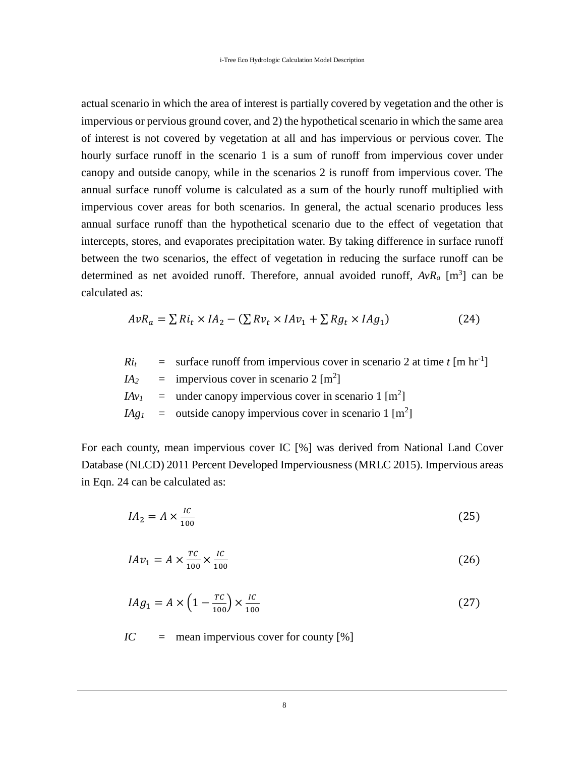actual scenario in which the area of interest is partially covered by vegetation and the other is impervious or pervious ground cover, and 2) the hypothetical scenario in which the same area of interest is not covered by vegetation at all and has impervious or pervious cover. The hourly surface runoff in the scenario 1 is a sum of runoff from impervious cover under canopy and outside canopy, while in the scenarios 2 is runoff from impervious cover. The annual surface runoff volume is calculated as a sum of the hourly runoff multiplied with impervious cover areas for both scenarios. In general, the actual scenario produces less annual surface runoff than the hypothetical scenario due to the effect of vegetation that intercepts, stores, and evaporates precipitation water. By taking difference in surface runoff between the two scenarios, the effect of vegetation in reducing the surface runoff can be determined as net avoided runoff. Therefore, annual avoided runoff,  $AvR_a$  [m<sup>3</sup>] can be calculated as:

$$
AvR_a = \sum Ri_t \times IA_2 - (\sum Rv_t \times IAv_1 + \sum Rg_t \times IAg_1)
$$
 (24)

 $Ri_t$  = surface runoff from impervious cover in scenario 2 at time *t* [m hr<sup>-1</sup>]  $IA<sub>2</sub>$  = impervious cover in scenario 2 [m<sup>2</sup>]  $IAv_1$  = under canopy impervious cover in scenario 1 [m<sup>2</sup>]

$$
IAg_1 = \text{outside canopy impervious cover in scenario 1 [m2]
$$

For each county, mean impervious cover IC [%] was derived from National Land Cover Database (NLCD) 2011 Percent Developed Imperviousness (MRLC 2015). Impervious areas in Eqn. 24 can be calculated as:

$$
IA_2 = A \times \frac{IC}{100} \tag{25}
$$

$$
IAv_1 = A \times \frac{rc}{100} \times \frac{IC}{100}
$$
 (26)

$$
IAg_1 = A \times \left(1 - \frac{rc}{100}\right) \times \frac{IC}{100}
$$
\n
$$
\tag{27}
$$

*IC* = mean impervious cover for county [%]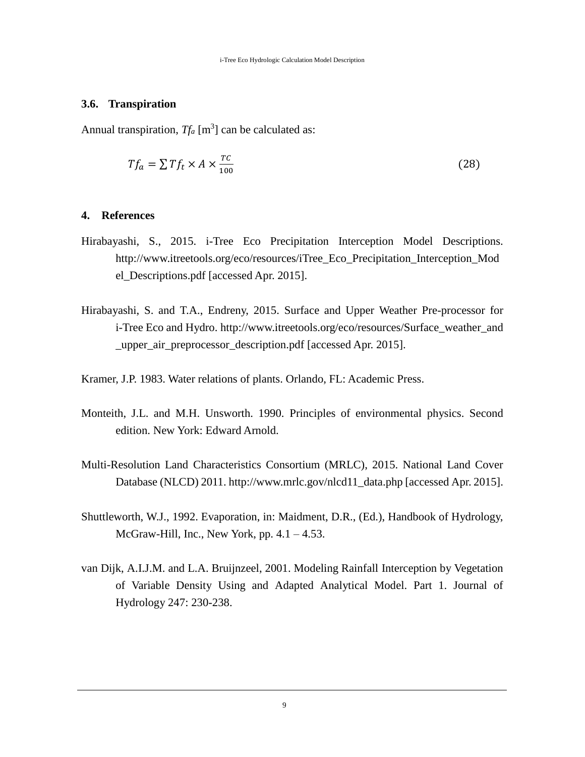# **3.6. Transpiration**

Annual transpiration,  $Tf_a$  [m<sup>3</sup>] can be calculated as:

$$
Tf_a = \sum Tf_t \times A \times \frac{TC}{100} \tag{28}
$$

#### **4. References**

- Hirabayashi, S., 2015. i-Tree Eco Precipitation Interception Model Descriptions. [http://www.itreetools.org/eco/resources/iTree\\_Eco\\_Precipitation\\_Interception\\_Mod](http://www.itreetools.org/eco/resources/iTree_Eco_Precipitation_Interception_Model_Descriptions.pdf) [el\\_Descriptions.pdf](http://www.itreetools.org/eco/resources/iTree_Eco_Precipitation_Interception_Model_Descriptions.pdf) [accessed Apr. 2015].
- Hirabayashi, S. and T.A., Endreny, 2015. Surface and Upper Weather Pre-processor for i-Tree Eco and Hydro. http://www.itreetools.org/eco/resources/Surface\_weather\_and \_upper\_air\_preprocessor\_description.pdf [accessed Apr. 2015].
- Kramer, J.P. 1983. Water relations of plants. Orlando, FL: Academic Press.
- Monteith, J.L. and M.H. Unsworth. 1990. Principles of environmental physics. Second edition. New York: Edward Arnold.
- Multi-Resolution Land Characteristics Consortium (MRLC), 2015. National Land Cover Database (NLCD) 2011. http://www.mrlc.gov/nlcd11\_data.php [accessed Apr. 2015].
- Shuttleworth, W.J., 1992. Evaporation, in: Maidment, D.R., (Ed.), Handbook of Hydrology, McGraw-Hill, Inc., New York, pp.  $4.1 - 4.53$ .
- van Dijk, A.I.J.M. and L.A. Bruijnzeel, 2001. Modeling Rainfall Interception by Vegetation of Variable Density Using and Adapted Analytical Model. Part 1. Journal of Hydrology 247: 230-238.